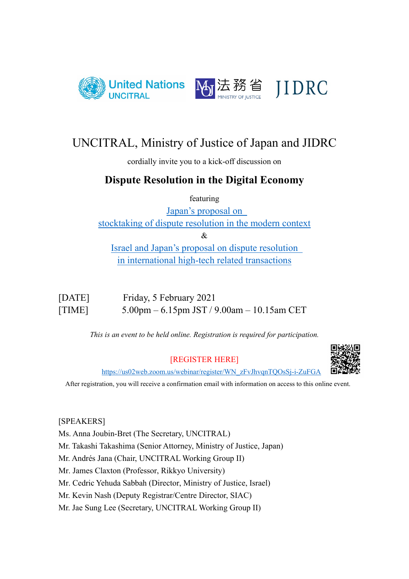

# UNCITRAL, Ministry of Justice of Japan and JIDRC

cordially invite you to a kick-off discussion on

# **Dispute Resolution in the Digital Economy**

featuring

[Japan's proposal on](https://undocs.org/en/A/CN.9/1037)  [stocktaking of dispute resolution in the modern context](https://undocs.org/en/A/CN.9/1037)

&

[Israel and Japan's proposal on dispute resolution](https://undocs.org/en/A/CN.9/997)  [in international high-tech related transactions](https://undocs.org/en/A/CN.9/997) 

| [DATE] | Friday, 5 February 2021                    |
|--------|--------------------------------------------|
| [TIME] | 5.00pm – 6.15pm JST / 9.00am – 10.15am CET |

*This is an event to be held online. Registration is required for participation.* 

## [REGISTER HERE]



[https://us02web.zoom.us/webinar/register/WN\\_zFvJhvqnTQOsSj-i-ZuFGA](https://us02web.zoom.us/webinar/register/WN_zFvJhvqnTQOsSj-i-ZuFGA)

After registration, you will receive a confirmation email with information on access to this online event.

## [SPEAKERS]

Ms. Anna Joubin-Bret (The Secretary, UNCITRAL)

Mr. Takashi Takashima (Senior Attorney, Ministry of Justice, Japan)

Mr. Andrés Jana (Chair, UNCITRAL Working Group II)

Mr. James Claxton (Professor, Rikkyo University)

Mr. Cedric Yehuda Sabbah (Director, Ministry of Justice, Israel)

Mr. Kevin Nash (Deputy Registrar/Centre Director, SIAC)

Mr. Jae Sung Lee (Secretary, UNCITRAL Working Group II)